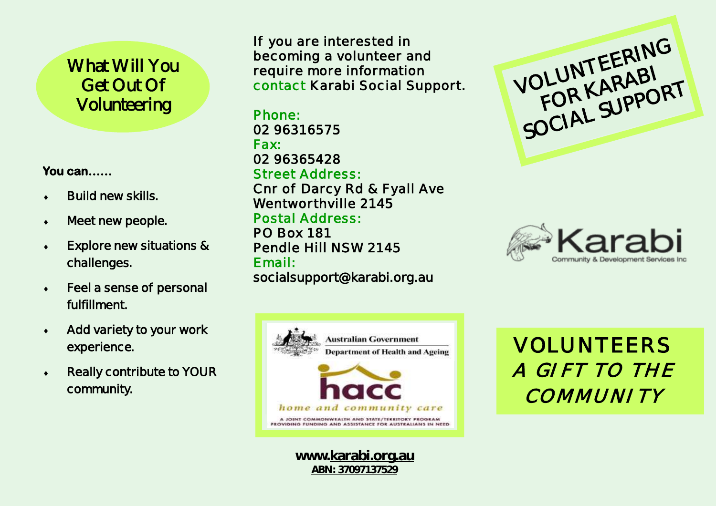# What Will You Get Out Of Volunteering

**You can……** 

- **Build new skills.**
- **Meet new people.**
- **Explore new situations & challenges.**
- **Feel a sense of personal fulfillment.**
- **Add variety to your work experience.**
- **Really contribute to YOUR community.**

**If you are interested in becoming a volunteer and require more information contact Karabi Social Support.** 

**Phone: 02 96316575 Fax: 02 96365428 Street Address: Cnr of Darcy Rd & Fyall Ave Wentworthville 2145 Postal Address: PO Box 181 Pendle Hill NSW 2145 Email: socialsupport@karabi.org.au** 



**www.karabi.org.au** *ABN: 37097137529*





VOLUNTEERS *A GIFT TO THE COMMUNITY*